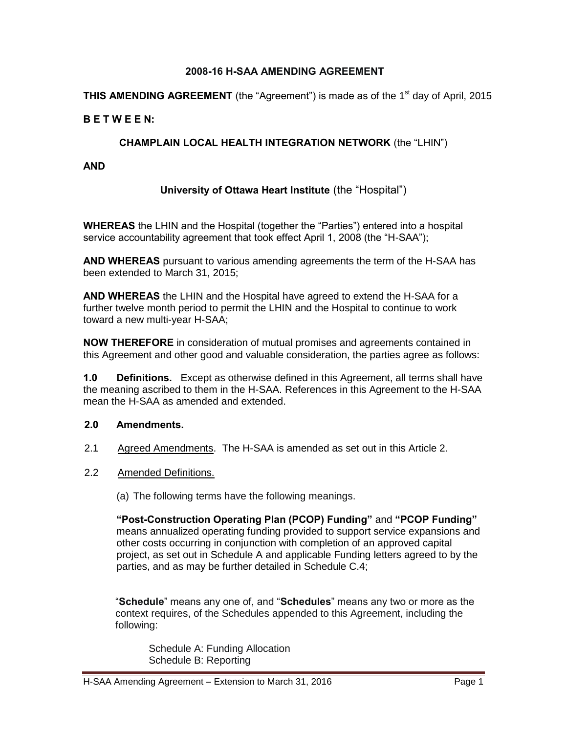#### **2008-16 H-SAA AMENDING AGREEMENT**

**THIS AMENDING AGREEMENT** (the "Agreement") is made as of the 1<sup>st</sup> day of April, 2015

#### **B E T W E E N:**

#### **CHAMPLAIN LOCAL HEALTH INTEGRATION NETWORK** (the "LHIN")

#### **AND**

#### **University of Ottawa Heart Institute** (the "Hospital")

**WHEREAS** the LHIN and the Hospital (together the "Parties") entered into a hospital service accountability agreement that took effect April 1, 2008 (the "H-SAA");

**AND WHEREAS** pursuant to various amending agreements the term of the H-SAA has been extended to March 31, 2015;

**AND WHEREAS** the LHIN and the Hospital have agreed to extend the H-SAA for a further twelve month period to permit the LHIN and the Hospital to continue to work toward a new multi-year H-SAA;

**NOW THEREFORE** in consideration of mutual promises and agreements contained in this Agreement and other good and valuable consideration, the parties agree as follows:

**1.0 Definitions.** Except as otherwise defined in this Agreement, all terms shall have the meaning ascribed to them in the H-SAA. References in this Agreement to the H-SAA mean the H-SAA as amended and extended.

#### **2.0 Amendments.**

- 2.1 Agreed Amendments. The H-SAA is amended as set out in this Article 2.
- 2.2 Amended Definitions.

(a) The following terms have the following meanings.

**"Post-Construction Operating Plan (PCOP) Funding"** and **"PCOP Funding"** means annualized operating funding provided to support service expansions and other costs occurring in conjunction with completion of an approved capital project, as set out in Schedule A and applicable Funding letters agreed to by the parties, and as may be further detailed in Schedule C.4;

"**Schedule**" means any one of, and "**Schedules**" means any two or more as the context requires, of the Schedules appended to this Agreement, including the following:

Schedule A: Funding Allocation Schedule B: Reporting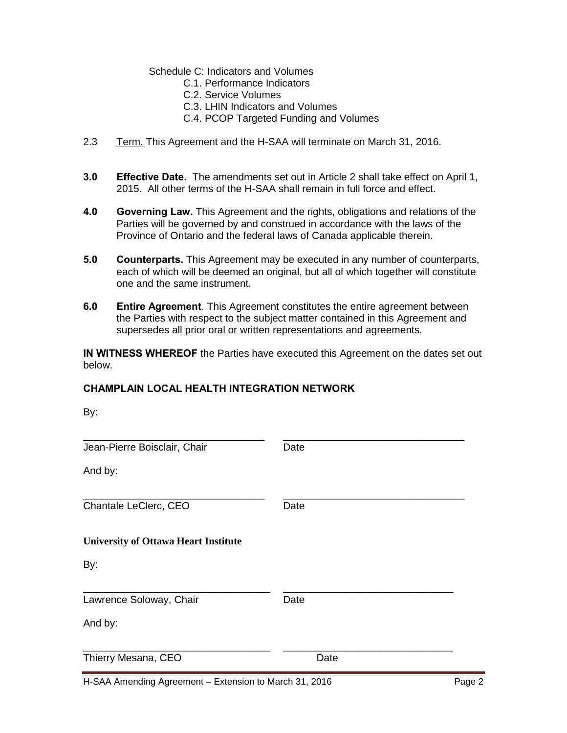#### Schedule C: Indicators and Volumes

- C.1. Performance Indicators
- C.2. Service Volumes
- C.3. LHIN Indicators and Volumes
- C.4. PCOP Targeted Funding and Volumes
- 2.3Term. This Agreement and the H-SAA will terminate on March 31, 2016.
- **3.0 Effective Date.** The amendments set out in Article 2 shall take effect on April 1, 2015. All other terms of the H-SAA shall remain in full force and effect.
- **4.0 Governing Law.** This Agreement and the rights, obligations and relations of the Parties will be governed by and construed in accordance with the laws of the Province of Ontario and the federal laws of Canada applicable therein.
- **5.0 Counterparts.** This Agreement may be executed in any number of counterparts, each of which will be deemed an original, but all of which together will constitute one and the same instrument.
- **6.0 Entire Agreement**. This Agreement constitutes the entire agreement between the Parties with respect to the subject matter contained in this Agreement and supersedes all prior oral or written representations and agreements.

**IN WITNESS WHEREOF** the Parties have executed this Agreement on the dates set out below.

#### **CHAMPLAIN LOCAL HEALTH INTEGRATION NETWORK**

| By:                                         |      |
|---------------------------------------------|------|
| Jean-Pierre Boisclair, Chair                | Date |
| And by:                                     |      |
| Chantale LeClerc, CEO                       | Date |
| <b>University of Ottawa Heart Institute</b> |      |
| By:                                         |      |
| Lawrence Soloway, Chair                     | Date |
| And by:                                     |      |
| Thierry Mesana, CEO                         | Date |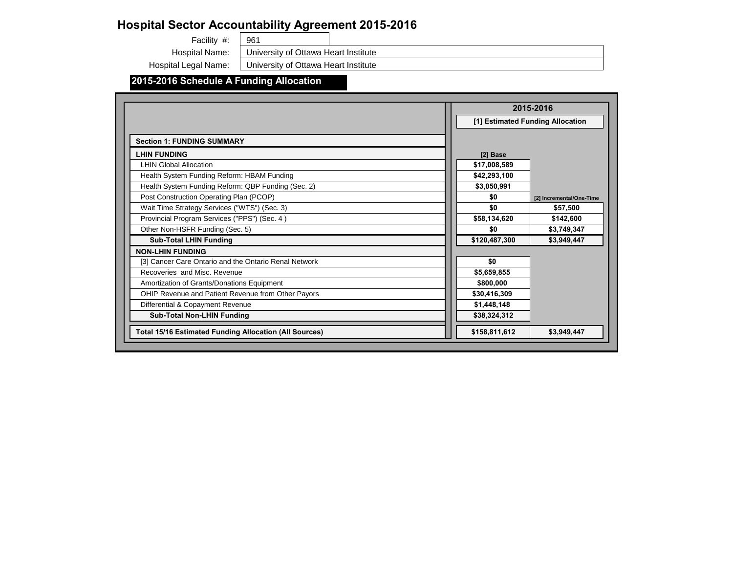### **2015-2016 Schedule A Funding Allocation**

University of Ottawa Heart Institute

University of Ottawa Heart Institute

961 Facility #:

Hospital Name:

Hospital Legal Name:

| 2016                                     |  |
|------------------------------------------|--|
| ding Allocation                          |  |
|                                          |  |
|                                          |  |
|                                          |  |
|                                          |  |
|                                          |  |
|                                          |  |
| Incremental/One-Time<br>$\overline{[2]}$ |  |
| \$57,500                                 |  |
| \$142,600                                |  |
| \$3,749,347                              |  |
| \$3,949,447                              |  |
|                                          |  |
|                                          |  |
|                                          |  |
|                                          |  |
|                                          |  |
|                                          |  |
|                                          |  |
| \$3,949,447                              |  |
|                                          |  |

|                                                               |               | 2015-2016                        |
|---------------------------------------------------------------|---------------|----------------------------------|
|                                                               |               | [1] Estimated Funding Allocation |
| <b>Section 1: FUNDING SUMMARY</b>                             |               |                                  |
| <b>LHIN FUNDING</b>                                           | [2] Base      |                                  |
| <b>LHIN Global Allocation</b>                                 | \$17,008,589  |                                  |
| Health System Funding Reform: HBAM Funding                    | \$42,293,100  |                                  |
| Health System Funding Reform: QBP Funding (Sec. 2)            | \$3,050,991   |                                  |
| Post Construction Operating Plan (PCOP)                       | \$0           | [2] Incremental/One-             |
| Wait Time Strategy Services ("WTS") (Sec. 3)                  | \$0           | \$57,500                         |
| Provincial Program Services ("PPS") (Sec. 4)                  | \$58,134,620  | \$142,600                        |
| Other Non-HSFR Funding (Sec. 5)                               | \$0           | \$3,749,347                      |
| <b>Sub-Total LHIN Funding</b>                                 | \$120,487,300 | \$3,949,447                      |
| <b>NON-LHIN FUNDING</b>                                       |               |                                  |
| [3] Cancer Care Ontario and the Ontario Renal Network         | \$0           |                                  |
| Recoveries and Misc. Revenue                                  | \$5,659,855   |                                  |
| Amortization of Grants/Donations Equipment                    | \$800,000     |                                  |
| OHIP Revenue and Patient Revenue from Other Payors            | \$30,416,309  |                                  |
| Differential & Copayment Revenue                              | \$1,448,148   |                                  |
| <b>Sub-Total Non-LHIN Funding</b>                             | \$38,324,312  |                                  |
| <b>Total 15/16 Estimated Funding Allocation (All Sources)</b> | \$158,811,612 | \$3,949,447                      |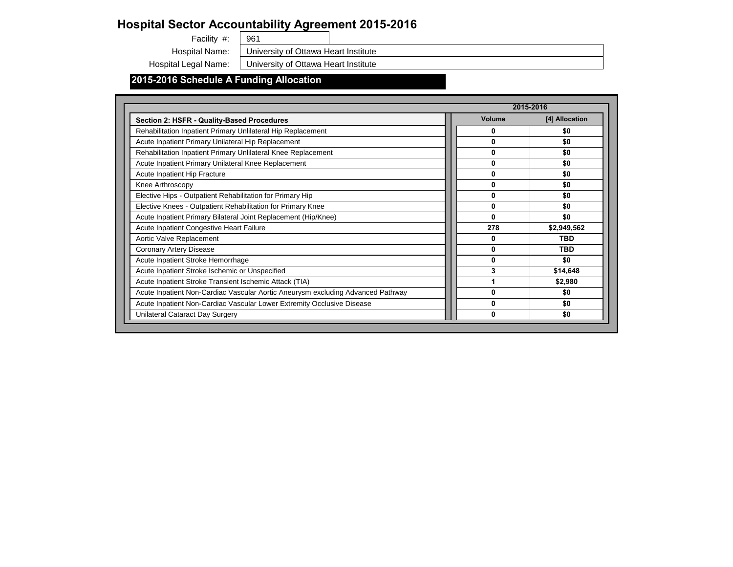# **Hospital Sector Accountability Agreement 2015-2016**<br>Facility #:  $\sqrt{\frac{961}{}}$

Facility #:

### **2015-2016 Schedule A Funding Allocation**

University of Ottawa Heart Institute

|                                                                                 |                  | 2015-2016      |
|---------------------------------------------------------------------------------|------------------|----------------|
| <b>Section 2: HSFR - Quality-Based Procedures</b>                               | <b>Volume</b>    | [4] Allocation |
| Rehabilitation Inpatient Primary Unlilateral Hip Replacement                    | 0                | \$0            |
| Acute Inpatient Primary Unilateral Hip Replacement                              | $\mathbf{0}$     | \$0            |
| Rehabilitation Inpatient Primary Unlilateral Knee Replacement                   | $\boldsymbol{0}$ | \$0            |
| Acute Inpatient Primary Unilateral Knee Replacement                             | $\boldsymbol{0}$ | \$0            |
| <b>Acute Inpatient Hip Fracture</b>                                             | $\boldsymbol{0}$ | \$0            |
| Knee Arthroscopy                                                                | $\boldsymbol{0}$ | \$0            |
| Elective Hips - Outpatient Rehabilitation for Primary Hip                       | $\boldsymbol{0}$ | \$0            |
| Elective Knees - Outpatient Rehabilitation for Primary Knee                     | $\boldsymbol{0}$ | \$0            |
| Acute Inpatient Primary Bilateral Joint Replacement (Hip/Knee)                  | $\mathbf{0}$     | \$0            |
| <b>Acute Inpatient Congestive Heart Failure</b>                                 | 278              | \$2,949,562    |
| Aortic Valve Replacement                                                        | $\mathbf 0$      | <b>TBD</b>     |
| <b>Coronary Artery Disease</b>                                                  | $\boldsymbol{0}$ | <b>TBD</b>     |
| Acute Inpatient Stroke Hemorrhage                                               | $\boldsymbol{0}$ | \$0            |
| Acute Inpatient Stroke Ischemic or Unspecified                                  | 3                | \$14,648       |
| Acute Inpatient Stroke Transient Ischemic Attack (TIA)                          |                  | \$2,980        |
| Acute Inpatient Non-Cardiac Vascular Aortic Aneurysm excluding Advanced Pathway | $\boldsymbol{0}$ | \$0            |
| Acute Inpatient Non-Cardiac Vascular Lower Extremity Occlusive Disease          | $\boldsymbol{0}$ | \$0            |
| <b>Unilateral Cataract Day Surgery</b>                                          | $\mathbf 0$      | \$0            |

Hospital Name: University of Ottawa Heart Institute

Hospital Legal Name: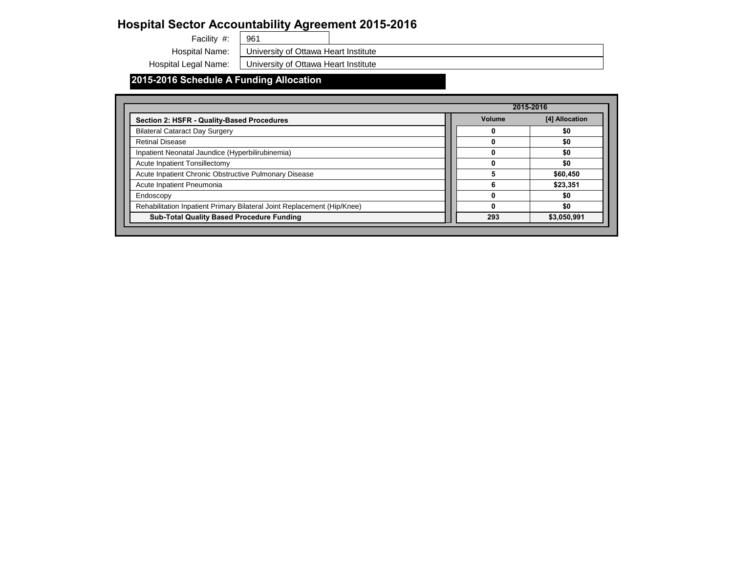# **Hospital Sector Accountability Agreement 2015-2016**<br>Facility #:  $\sqrt{\frac{961}{}}$

Facility #:

### **2015-2016 Schedule A Funding Allocation**

Hospital Name: University of Ottawa Heart Institute

Hospital Legal Name: | University of Ottawa Heart Institute

|                                                                         |               | 2015-2016      |
|-------------------------------------------------------------------------|---------------|----------------|
| <b>Section 2: HSFR - Quality-Based Procedures</b>                       | <b>Volume</b> | [4] Allocation |
| <b>Bilateral Cataract Day Surgery</b>                                   |               | \$0            |
| <b>Retinal Disease</b>                                                  |               | \$0            |
| Inpatient Neonatal Jaundice (Hyperbilirubinemia)                        |               | \$0            |
| <b>Acute Inpatient Tonsillectomy</b>                                    |               | \$0            |
| Acute Inpatient Chronic Obstructive Pulmonary Disease                   |               | \$60,450       |
| Acute Inpatient Pneumonia                                               | 6             | \$23,351       |
| Endoscopy                                                               |               | \$0            |
| Rehabilitation Inpatient Primary Bilateral Joint Replacement (Hip/Knee) |               | \$0            |
| <b>Sub-Total Quality Based Procedure Funding</b>                        | 293           | \$3,050,991    |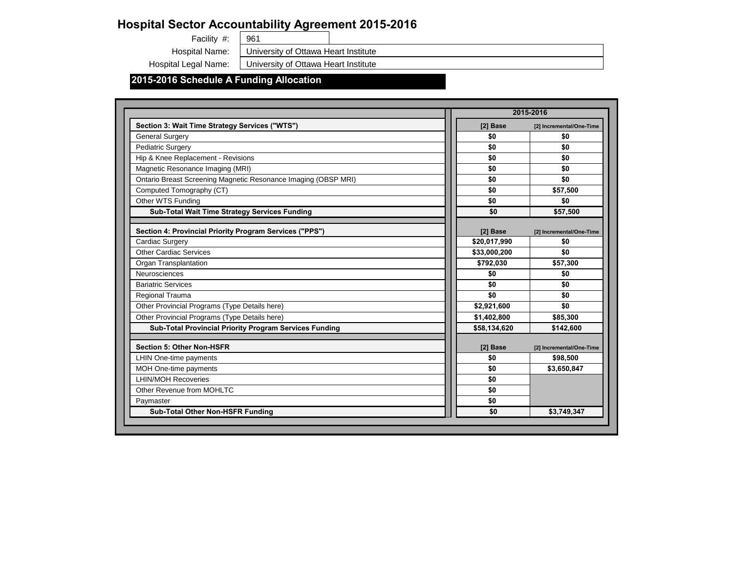# **Hospital Sector Accountability Agreement 2015-2016**<br>Facility #:  $\sqrt{\frac{961}{}}$

Facility #:

### **2015-2016 Schedule A Funding Allocation**

Hospital Name: University of Ottawa Heart Institute

Hospital Legal Name: | University of Ottawa Heart Institute

|                                                                       |              | 2015-2016                |
|-----------------------------------------------------------------------|--------------|--------------------------|
| Section 3: Wait Time Strategy Services ("WTS")                        | [2] Base     | [2] Incremental/One-Time |
| <b>General Surgery</b>                                                | \$0          | \$0                      |
| <b>Pediatric Surgery</b>                                              | \$0          | \$0                      |
| Hip & Knee Replacement - Revisions                                    | \$0          | \$0                      |
| Magnetic Resonance Imaging (MRI)                                      | \$0          | \$0                      |
| <b>Ontario Breast Screening Magnetic Resonance Imaging (OBSP MRI)</b> | \$0          | \$0                      |
| Computed Tomography (CT)                                              | \$0          | \$57,500                 |
| <b>Other WTS Funding</b>                                              | \$0          | \$0                      |
| <b>Sub-Total Wait Time Strategy Services Funding</b>                  | \$0          | \$57,500                 |
| Section 4: Provincial Priority Program Services ("PPS")               | [2] Base     | [2] Incremental/One-Time |
| <b>Cardiac Surgery</b>                                                | \$20,017,990 | \$0                      |
| <b>Other Cardiac Services</b>                                         | \$33,000,200 | \$0                      |
| <b>Organ Transplantation</b>                                          | \$792,030    | \$57,300                 |
| <b>Neurosciences</b>                                                  | \$0          | \$0                      |
| <b>Bariatric Services</b>                                             | \$0          | \$0                      |
| <b>Regional Trauma</b>                                                | \$0          | \$0                      |
| Other Provincial Programs (Type Details here)                         | \$2,921,600  | \$0                      |
| Other Provincial Programs (Type Details here)                         | \$1,402,800  | \$85,300                 |
| <b>Sub-Total Provincial Priority Program Services Funding</b>         | \$58,134,620 | \$142,600                |
| <b>Section 5: Other Non-HSFR</b>                                      | [2] Base     | [2] Incremental/One-Time |
| <b>LHIN One-time payments</b>                                         | \$0          | \$98,500                 |
| <b>MOH One-time payments</b>                                          | \$0          | \$3,650,847              |
| <b>LHIN/MOH Recoveries</b>                                            | \$0          |                          |
| Other Revenue from MOHLTC                                             | \$0          |                          |
| Paymaster                                                             | \$0          |                          |
| <b>Sub-Total Other Non-HSFR Funding</b>                               | \$0          | \$3,749,347              |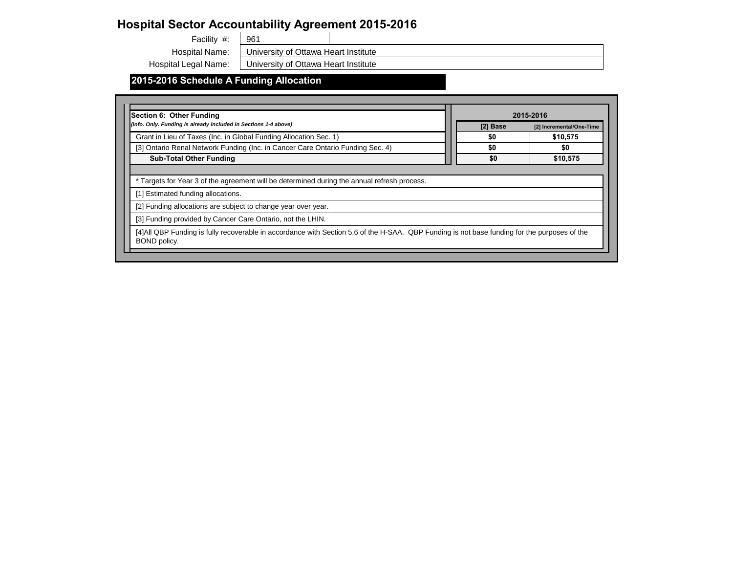Facility #: 961

### **2015-2016 Schedule A Funding Allocation**

University of Ottawa Heart Institute

Hospital Legal Name: | University of Ottawa Heart Institute



| <b>Section 6: Other Funding</b>                                                                                                                   |  |          | 2015-2016 |
|---------------------------------------------------------------------------------------------------------------------------------------------------|--|----------|-----------|
| (Info. Only. Funding is already included in Sections 1-4 above)                                                                                   |  | [2] Base | $[2]$ In  |
| Grant in Lieu of Taxes (Inc. in Global Funding Allocation Sec. 1)                                                                                 |  | \$0      |           |
| [3] Ontario Renal Network Funding (Inc. in Cancer Care Ontario Funding Sec. 4)                                                                    |  | \$0      |           |
| <b>Sub-Total Other Funding</b>                                                                                                                    |  | \$0      |           |
| * Targets for Year 3 of the agreement will be determined during the annual refresh process.                                                       |  |          |           |
| [1] Estimated funding allocations.                                                                                                                |  |          |           |
| [2] Funding allocations are subject to change year over year.                                                                                     |  |          |           |
| [3] Funding provided by Cancer Care Ontario, not the LHIN.                                                                                        |  |          |           |
| [4] All QBP Funding is fully recoverable in accordance with Section 5.6 of the H-SAA. QBP Funding is not base funding for the put<br>BOND policy. |  |          |           |



Hospital Name: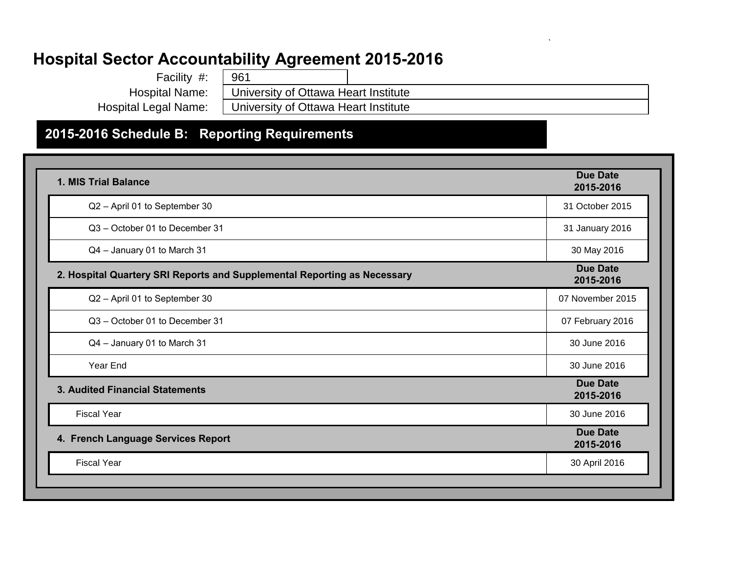| Facility #:           | 961                                  |  |
|-----------------------|--------------------------------------|--|
| <b>Hospital Name:</b> | University of Ottawa Heart Institute |  |
| Hospital Legal Name:  | University of Ottawa Heart Institute |  |
|                       |                                      |  |

`

### **2015-2016 Schedule B: Reporting Requirements**

| 1. MIS Trial Balance                                                     | <b>Due Date</b><br>2015-2016 |
|--------------------------------------------------------------------------|------------------------------|
| Q2 - April 01 to September 30                                            | 31 October 2015              |
| Q3 - October 01 to December 31                                           | 31 January 2016              |
| Q4 - January 01 to March 31                                              | 30 May 2016                  |
| 2. Hospital Quartery SRI Reports and Supplemental Reporting as Necessary | <b>Due Date</b><br>2015-2016 |
| Q2 - April 01 to September 30                                            | 07 November 2015             |
| Q3 - October 01 to December 31                                           | 07 February 2016             |
| Q4 - January 01 to March 31                                              | 30 June 2016                 |
| Year End                                                                 | 30 June 2016                 |
| <b>3. Audited Financial Statements</b>                                   | <b>Due Date</b><br>2015-2016 |
| <b>Fiscal Year</b>                                                       | 30 June 2016                 |
| 4. French Language Services Report                                       | <b>Due Date</b><br>2015-2016 |
| <b>Fiscal Year</b>                                                       | 30 April 2016                |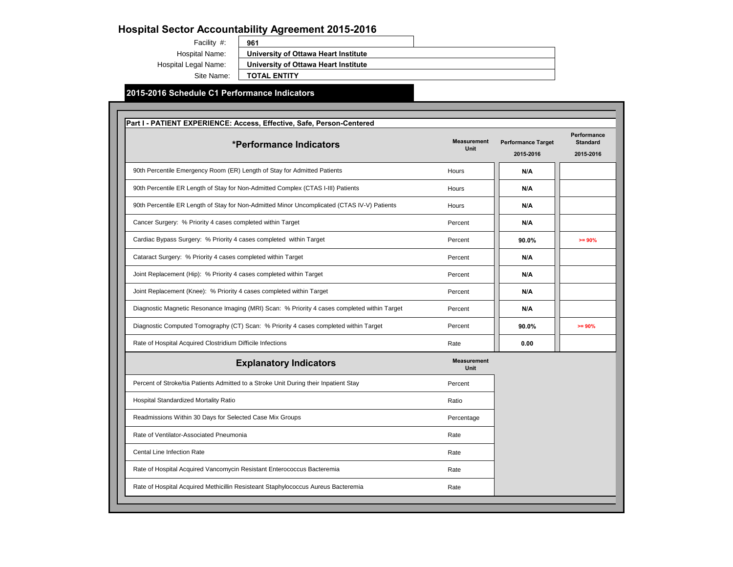| Facility #:           |  |
|-----------------------|--|
| <b>Hospital Name:</b> |  |

Site Name:

Hospital Legal Name:

**961 University of Ottawa Heart Institute University of Ottawa Heart Institute TOTAL ENTITY**

#### **2015-2016 Schedule C1 Performance Indicators**

| *Performance Indicators                                                                      | <b>Measurement</b><br><b>Unit</b> | <b>Performance Target</b><br>2015-2016 | Performance<br><b>Standard</b><br>2015-2016 |
|----------------------------------------------------------------------------------------------|-----------------------------------|----------------------------------------|---------------------------------------------|
| 90th Percentile Emergency Room (ER) Length of Stay for Admitted Patients                     | Hours                             | N/A                                    |                                             |
| 90th Percentile ER Length of Stay for Non-Admitted Complex (CTAS I-III) Patients             | Hours                             | N/A                                    |                                             |
| 90th Percentile ER Length of Stay for Non-Admitted Minor Uncomplicated (CTAS IV-V) Patients  | Hours                             | N/A                                    |                                             |
| Cancer Surgery: % Priority 4 cases completed within Target                                   | Percent                           | N/A                                    |                                             |
| Cardiac Bypass Surgery: % Priority 4 cases completed within Target                           | Percent                           | 90.0%                                  | $>= 90%$                                    |
| Cataract Surgery: % Priority 4 cases completed within Target                                 | Percent                           | N/A                                    |                                             |
| Joint Replacement (Hip): % Priority 4 cases completed within Target                          | Percent                           | N/A                                    |                                             |
| Joint Replacement (Knee): % Priority 4 cases completed within Target                         | Percent                           | N/A                                    |                                             |
| Diagnostic Magnetic Resonance Imaging (MRI) Scan: % Priority 4 cases completed within Target | Percent                           | N/A                                    |                                             |
| Diagnostic Computed Tomography (CT) Scan: % Priority 4 cases completed within Target         | Percent                           | 90.0%                                  | $>= 90%$                                    |
| Rate of Hospital Acquired Clostridium Difficile Infections                                   | Rate                              | 0.00                                   |                                             |
| <b>Explanatory Indicators</b>                                                                | <b>Measurement</b><br>Unit        |                                        |                                             |
| Percent of Stroke/tia Patients Admitted to a Stroke Unit During their Inpatient Stay         | Percent                           |                                        |                                             |
| Hospital Standardized Mortality Ratio                                                        | Ratio                             |                                        |                                             |
| Readmissions Within 30 Days for Selected Case Mix Groups                                     | Percentage                        |                                        |                                             |
| Rate of Ventilator-Associated Pneumonia                                                      | Rate                              |                                        |                                             |
| Cental Line Infection Rate                                                                   | Rate                              |                                        |                                             |
| Rate of Hospital Acquired Vancomycin Resistant Enterococcus Bacteremia                       | Rate                              |                                        |                                             |
| Rate of Hospital Acquired Methicillin Resisteant Staphylococcus Aureus Bacteremia            | Rate                              |                                        |                                             |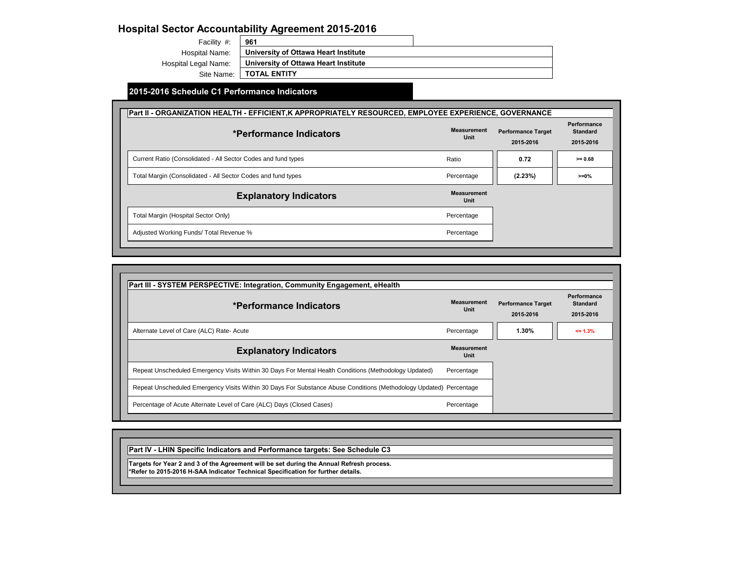### **2015-2016 Schedule C1 Performance Indicators**

Facility #: Hospital Name: Hospital Legal Name: **961 University of Ottawa Heart Institute University of Ottawa Heart Institute**

# Site Name: **TOTAL ENTITY**

### **Part II - ORGANIZATION HEALTH - EFFICIENT, K APPROPRIATELY RESOURCED, EMPLOYEE EXPE** Ratio **0.72 >= 0.68**  $Percent$ Percent Percent Adjusted Working Funds/ Total Revenue % **Explanatory Indicators** Total Margin (Hospital Sector Only) Total Margin (Consolidated - All Sector Codes and fund types Current Ratio (Consolidated - All Sector Codes and fund types **Measu Measu \*Performance Indicators**

| <b>ERIENCE, GOVERNANCE</b>                         |  |  |  |  |
|----------------------------------------------------|--|--|--|--|
| <b>Performance</b><br><b>Standard</b><br>2015-2016 |  |  |  |  |
| $>= 0.68$                                          |  |  |  |  |
| $>= 0%$                                            |  |  |  |  |
|                                                    |  |  |  |  |
|                                                    |  |  |  |  |
|                                                    |  |  |  |  |
|                                                    |  |  |  |  |
|                                                    |  |  |  |  |
|                                                    |  |  |  |  |

| <b>Measurement</b><br><b>Unit</b> | <b>Performance Target</b><br>2015-2016 | <b>Performance</b><br><b>Standard</b><br>2015-2016 |
|-----------------------------------|----------------------------------------|----------------------------------------------------|
| Percentage                        | 1.30%                                  | $\le$ 1.3%                                         |
| <b>Measurement</b><br><b>Unit</b> |                                        |                                                    |
| Percentage                        |                                        |                                                    |
| Percentage                        |                                        |                                                    |
| Percentage                        |                                        |                                                    |



| Part III - SYSTEM PERSPECTIVE: Integration, Community Engagement, eHealth                                          |                            |
|--------------------------------------------------------------------------------------------------------------------|----------------------------|
| *Performance Indicators                                                                                            | <b>Measurement</b><br>Unit |
| Alternate Level of Care (ALC) Rate- Acute                                                                          | Percentage                 |
| <b>Explanatory Indicators</b>                                                                                      | <b>Measurement</b><br>Unit |
| Repeat Unscheduled Emergency Visits Within 30 Days For Mental Health Conditions (Methodology Updated)              | Percentage                 |
| Repeat Unscheduled Emergency Visits Within 30 Days For Substance Abuse Conditions (Methodology Updated) Percentage |                            |
| Percentage of Acute Alternate Level of Care (ALC) Days (Closed Cases)                                              | Percentage                 |

### **Part IV - LHIN Specific Indicators and Performance targets: See Schedule C3**

**Targets for Year 2 and 3 of the Agreement will be set during the Annual Refresh process. \*Refer to 2015-2016 H-SAA Indicator Technical Specification for further details.**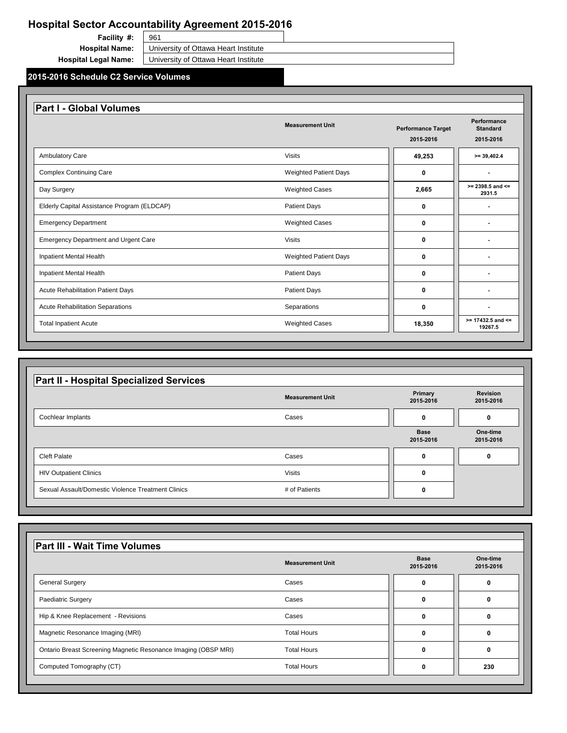| <b>Facility #:</b>          | 961                                                          |  |
|-----------------------------|--------------------------------------------------------------|--|
|                             | <b>Hospital Name:</b>   University of Ottawa Heart Institute |  |
| <b>Hospital Legal Name:</b> | University of Ottawa Heart Institute                         |  |

### **2015-2016 Schedule C2 Service Volumes**

| <b>THE SUPPORT SHIPS</b>                                  | "``"`"        |  |
|-----------------------------------------------------------|---------------|--|
| <b>Sexual Assault/Domestic Violence Treatment Clinics</b> | # of Patients |  |
|                                                           |               |  |

|                                             | <b>Measurement Unit</b>      | <b>Performance Target</b><br>2015-2016 | <b>Performance</b><br><b>Standard</b><br>2015-2016 |
|---------------------------------------------|------------------------------|----------------------------------------|----------------------------------------------------|
| <b>Ambulatory Care</b>                      | <b>Visits</b>                | 49,253                                 | $>= 39,402.4$                                      |
| <b>Complex Continuing Care</b>              | <b>Weighted Patient Days</b> | $\mathbf 0$                            | $\blacksquare$                                     |
| Day Surgery                                 | <b>Weighted Cases</b>        | 2,665                                  | $>= 2398.5$ and $<=$<br>2931.5                     |
| Elderly Capital Assistance Program (ELDCAP) | <b>Patient Days</b>          | $\mathbf 0$                            |                                                    |
| <b>Emergency Department</b>                 | <b>Weighted Cases</b>        | $\mathbf 0$                            |                                                    |
| <b>Emergency Department and Urgent Care</b> | <b>Visits</b>                | $\mathbf 0$                            |                                                    |
| <b>Inpatient Mental Health</b>              | <b>Weighted Patient Days</b> | $\mathbf{0}$                           |                                                    |
| <b>Inpatient Mental Health</b>              | <b>Patient Days</b>          | $\mathbf 0$                            |                                                    |
| <b>Acute Rehabilitation Patient Days</b>    | <b>Patient Days</b>          | $\mathbf{0}$                           |                                                    |
| <b>Acute Rehabilitation Separations</b>     | Separations                  | $\mathbf 0$                            |                                                    |
| <b>Total Inpatient Acute</b>                | <b>Weighted Cases</b>        | 18,350                                 | $>= 17432.5$ and $<=$<br>19267.5                   |

| <b>Part II - Hospital Specialized Services</b> |                         |                             |                              |
|------------------------------------------------|-------------------------|-----------------------------|------------------------------|
|                                                | <b>Measurement Unit</b> | <b>Primary</b><br>2015-2016 | <b>Revision</b><br>2015-2016 |
| <b>Cochlear Implants</b>                       | Cases                   | 0                           |                              |
|                                                |                         | <b>Base</b><br>2015-2016    | One-time<br>2015-2016        |
| <b>Cleft Palate</b>                            | Cases                   | 0                           | 0                            |
| <b>HIV Outpatient Clinics</b>                  | <b>Visits</b>           | 0                           |                              |

|                                                                       | <b>Measurement Unit</b> | <b>Base</b><br>2015-2016 | One-time<br>2015-2016 |
|-----------------------------------------------------------------------|-------------------------|--------------------------|-----------------------|
| <b>General Surgery</b>                                                | Cases                   | 0                        |                       |
| <b>Paediatric Surgery</b>                                             | Cases                   | $\boldsymbol{0}$         | 0                     |
| Hip & Knee Replacement - Revisions                                    | Cases                   | $\bf{0}$                 | 0                     |
| Magnetic Resonance Imaging (MRI)                                      | <b>Total Hours</b>      | $\boldsymbol{0}$         | 0                     |
| <b>Ontario Breast Screening Magnetic Resonance Imaging (OBSP MRI)</b> | <b>Total Hours</b>      | $\bf{0}$                 |                       |
| Computed Tomography (CT)                                              | <b>Total Hours</b>      | $\mathbf 0$              | 230                   |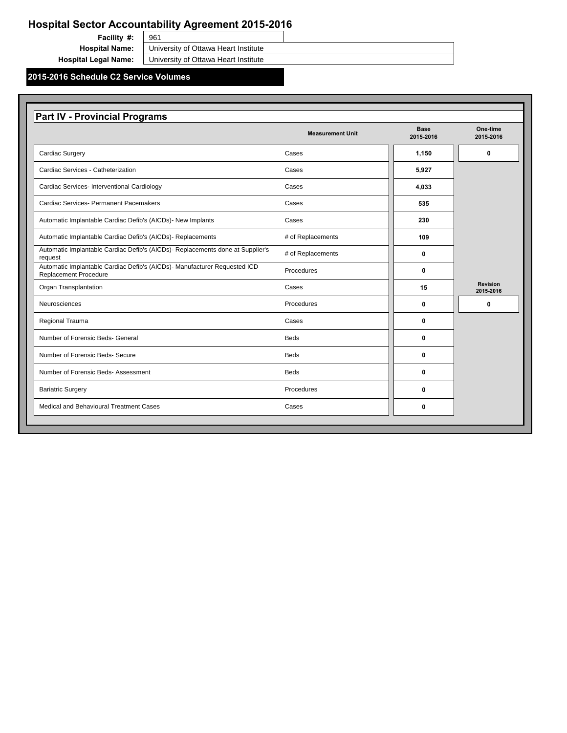### **2015-2016 Schedule C2 Service Volumes**

**Facility #:** 

961 **Hospital Name:** University of Ottawa Heart Institute

**Hospital Legal Name:** University of Ottawa Heart Institute

|                                                                                                           | <b>Measurement Unit</b> | <b>Base</b><br>2015-2016 | One-time<br>2015-2016        |
|-----------------------------------------------------------------------------------------------------------|-------------------------|--------------------------|------------------------------|
| <b>Cardiac Surgery</b>                                                                                    | Cases                   | 1,150                    | $\mathbf 0$                  |
| <b>Cardiac Services - Catheterization</b>                                                                 | Cases                   | 5,927                    |                              |
| <b>Cardiac Services- Interventional Cardiology</b>                                                        | Cases                   | 4,033                    |                              |
| <b>Cardiac Services- Permanent Pacemakers</b>                                                             | Cases                   | 535                      |                              |
| Automatic Implantable Cardiac Defib's (AICDs)- New Implants                                               | Cases                   | 230                      |                              |
| Automatic Implantable Cardiac Defib's (AICDs)- Replacements                                               | # of Replacements       | 109                      |                              |
| Automatic Implantable Cardiac Defib's (AICDs)- Replacements done at Supplier's<br>request                 | # of Replacements       | 0                        |                              |
| Automatic Implantable Cardiac Defib's (AICDs)- Manufacturer Requested ICD<br><b>Replacement Procedure</b> | Procedures              | 0                        |                              |
| <b>Organ Transplantation</b>                                                                              | Cases                   | 15                       | <b>Revision</b><br>2015-2016 |
| Neurosciences                                                                                             | Procedures              | $\mathbf 0$              | $\mathbf 0$                  |
| <b>Regional Trauma</b>                                                                                    | Cases                   | 0                        |                              |
| Number of Forensic Beds- General                                                                          | <b>Beds</b>             | $\mathbf 0$              |                              |
| <b>Number of Forensic Beds- Secure</b>                                                                    | <b>Beds</b>             | $\mathbf 0$              |                              |
| <b>Number of Forensic Beds-Assessment</b>                                                                 | <b>Beds</b>             | 0                        |                              |
| <b>Bariatric Surgery</b>                                                                                  | Procedures              | 0                        |                              |
| <b>Medical and Behavioural Treatment Cases</b>                                                            | Cases                   | 0                        |                              |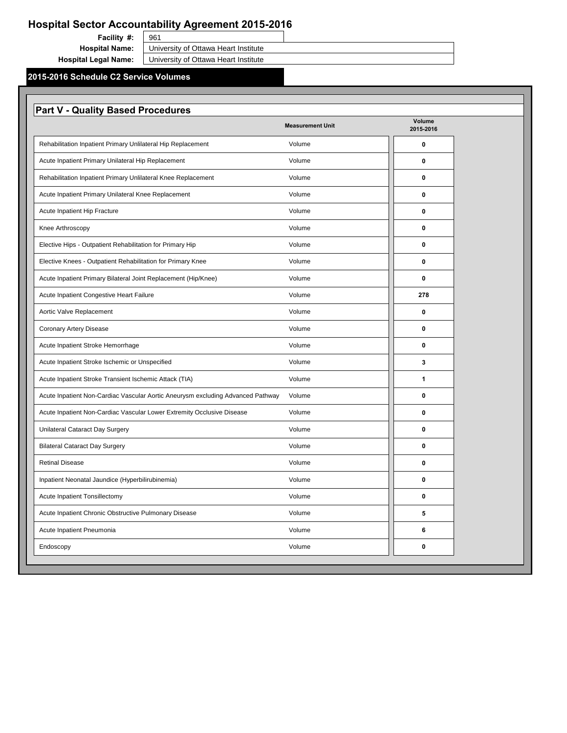### **2015-2016 Schedule C2 Service Volumes**

961 **Facility #: Hospital Name:** University of Ottawa Heart Institute **Hospital Legal Name:** University of Ottawa Heart Institute

| <b>Part V - Quality Based Procedures</b>                                        |                         |                            |
|---------------------------------------------------------------------------------|-------------------------|----------------------------|
|                                                                                 | <b>Measurement Unit</b> | <b>Volume</b><br>2015-2016 |
| Rehabilitation Inpatient Primary Unlilateral Hip Replacement                    | Volume                  | $\boldsymbol{0}$           |
| Acute Inpatient Primary Unilateral Hip Replacement                              | Volume                  | 0                          |
| Rehabilitation Inpatient Primary Unlilateral Knee Replacement                   | Volume                  | 0                          |
| Acute Inpatient Primary Unilateral Knee Replacement                             | Volume                  | $\mathbf 0$                |
| <b>Acute Inpatient Hip Fracture</b>                                             | Volume                  | 0                          |
| Knee Arthroscopy                                                                | Volume                  | 0                          |
| Elective Hips - Outpatient Rehabilitation for Primary Hip                       | Volume                  | 0                          |
| Elective Knees - Outpatient Rehabilitation for Primary Knee                     | Volume                  | 0                          |
| Acute Inpatient Primary Bilateral Joint Replacement (Hip/Knee)                  | Volume                  | 0                          |
| Acute Inpatient Congestive Heart Failure                                        | Volume                  | 278                        |
| Aortic Valve Replacement                                                        | Volume                  | 0                          |
| <b>Coronary Artery Disease</b>                                                  | Volume                  | 0                          |
| Acute Inpatient Stroke Hemorrhage                                               | Volume                  | $\mathbf 0$                |
| Acute Inpatient Stroke Ischemic or Unspecified                                  | Volume                  | $\mathbf{3}$               |
| Acute Inpatient Stroke Transient Ischemic Attack (TIA)                          | Volume                  | 1                          |
| Acute Inpatient Non-Cardiac Vascular Aortic Aneurysm excluding Advanced Pathway | Volume                  | 0                          |
| Acute Inpatient Non-Cardiac Vascular Lower Extremity Occlusive Disease          | Volume                  | 0                          |
| <b>Unilateral Cataract Day Surgery</b>                                          | Volume                  | 0                          |
| <b>Bilateral Cataract Day Surgery</b>                                           | Volume                  | 0                          |
| <b>Retinal Disease</b>                                                          | Volume                  | 0                          |
| Inpatient Neonatal Jaundice (Hyperbilirubinemia)                                | Volume                  | 0                          |
| <b>Acute Inpatient Tonsillectomy</b>                                            | Volume                  | 0                          |
| Acute Inpatient Chronic Obstructive Pulmonary Disease                           | Volume                  | 5                          |
| Acute Inpatient Pneumonia                                                       | Volume                  | 6                          |
| Endoscopy                                                                       | Volume                  | 0                          |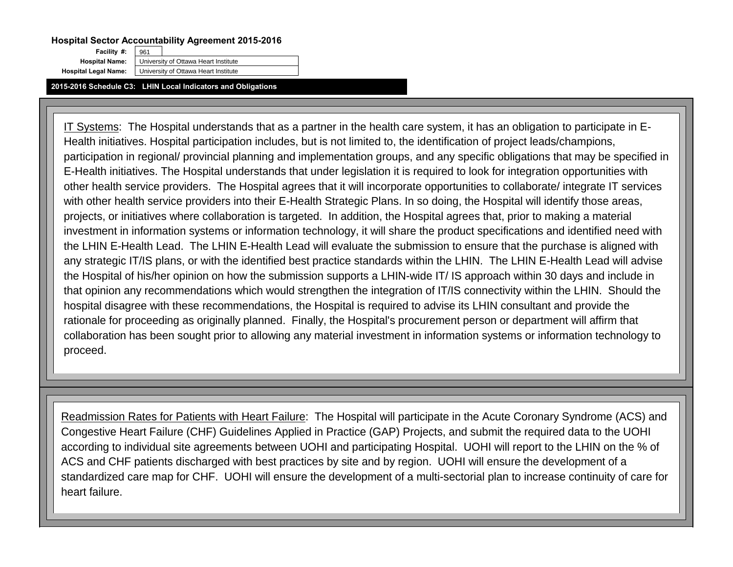**2015-2016 Schedule C3: LHIN Local Indicators and Obligations**

**Facility #:** 

961 **Hospital Name:** University of Ottawa Heart Institute **Hospital Legal Name:** University of Ottawa Heart Institute

IT Systems: The Hospital understands that as a partner in the health care system, it has an obligation to participate in E-Health initiatives. Hospital participation includes, but is not limited to, the identification of project leads/champions, participation in regional/ provincial planning and implementation groups, and any specific obligations that may be specified in E-Health initiatives. The Hospital understands that under legislation it is required to look for integration opportunities with other health service providers. The Hospital agrees that it will incorporate opportunities to collaborate/ integrate IT services with other health service providers into their E-Health Strategic Plans. In so doing, the Hospital will identify those areas, projects, or initiatives where collaboration is targeted. In addition, the Hospital agrees that, prior to making a material investment in information systems or information technology, it will share the product specifications and identified need with the LHIN E-Health Lead. The LHIN E-Health Lead will evaluate the submission to ensure that the purchase is aligned with any strategic IT/IS plans, or with the identified best practice standards within the LHIN. The LHIN E-Health Lead will advise the Hospital of his/her opinion on how the submission supports a LHIN-wide IT/ IS approach within 30 days and include in that opinion any recommendations which would strengthen the integration of IT/IS connectivity within the LHIN. Should the hospital disagree with these recommendations, the Hospital is required to advise its LHIN consultant and provide the rationale for proceeding as originally planned. Finally, the Hospital's procurement person or department will affirm that collaboration has been sought prior to allowing any material investment in information systems or information technology to proceed.

Readmission Rates for Patients with Heart Failure: The Hospital will participate in the Acute Coronary Syndrome (ACS) and Congestive Heart Failure (CHF) Guidelines Applied in Practice (GAP) Projects, and submit the required data to the UOHI according to individual site agreements between UOHI and participating Hospital. UOHI will report to the LHIN on the % of ACS and CHF patients discharged with best practices by site and by region. UOHI will ensure the development of a standardized care map for CHF. UOHI will ensure the development of a multi-sectorial plan to increase continuity of care for heart failure.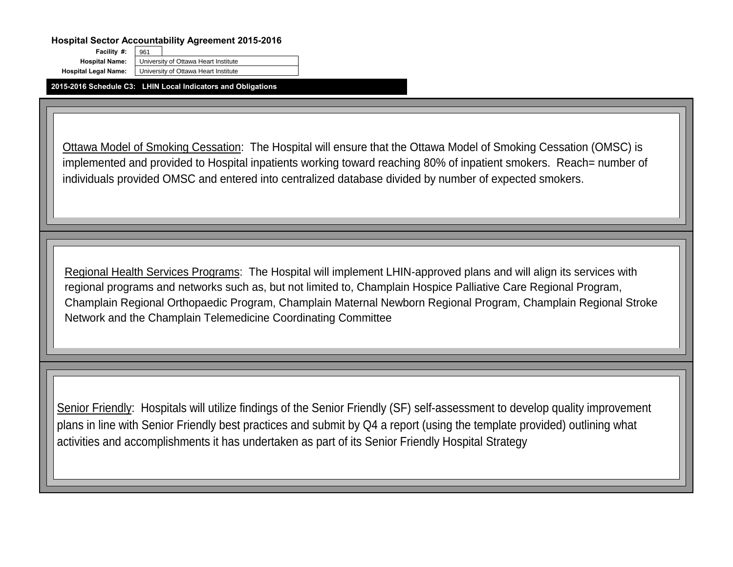**2015-2016 Schedule C3: LHIN Local Indicators and Obligations**

**Facility #:** 

961 **Hospital Name:** University of Ottawa Heart Institute **Hospital Legal Name:** University of Ottawa Heart Institute

Ottawa Model of Smoking Cessation: The Hospital will ensure that the Ottawa Model of Smoking Cessation (OMSC) is implemented and provided to Hospital inpatients working toward reaching 80% of inpatient smokers. Reach= number of individuals provided OMSC and entered into centralized database divided by number of expected smokers.

Senior Friendly: Hospitals will utilize findings of the Senior Friendly (SF) self-assessment to develop quality improvement plans in line with Senior Friendly best practices and submit by Q4 a report (using the template provided) outlining what activities and accomplishments it has undertaken as part of its Senior Friendly Hospital Strategy

Regional Health Services Programs: The Hospital will implement LHIN-approved plans and will align its services with regional programs and networks such as, but not limited to, Champlain Hospice Palliative Care Regional Program, Champlain Regional Orthopaedic Program, Champlain Maternal Newborn Regional Program, Champlain Regional Stroke Network and the Champlain Telemedicine Coordinating Committee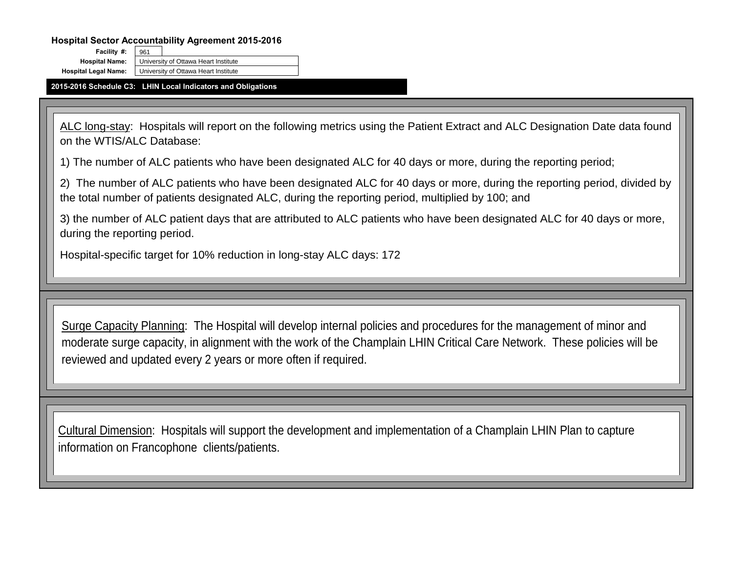961

**2015-2016 Schedule C3: LHIN Local Indicators and Obligations**

**Facility #:** 

**Hospital Name:** University of Ottawa Heart Institute **Hospital Legal Name:** University of Ottawa Heart Institute

ALC long-stay: Hospitals will report on the following metrics using the Patient Extract and ALC Designation Date data found on the WTIS/ALC Database:

1) The number of ALC patients who have been designated ALC for 40 days or more, during the reporting period;

2) The number of ALC patients who have been designated ALC for 40 days or more, during the reporting period, divided by the total number of patients designated ALC, during the reporting period, multiplied by 100; and

Surge Capacity Planning: The Hospital will develop internal policies and procedures for the management of minor and moderate surge capacity, in alignment with the work of the Champlain LHIN Critical Care Network. These policies will be reviewed and updated every 2 years or more often if required.

3) the number of ALC patient days that are attributed to ALC patients who have been designated ALC for 40 days or more, during the reporting period.

Hospital-specific target for 10% reduction in long-stay ALC days: 172

Cultural Dimension: Hospitals will support the development and implementation of a Champlain LHIN Plan to capture information on Francophone clients/patients.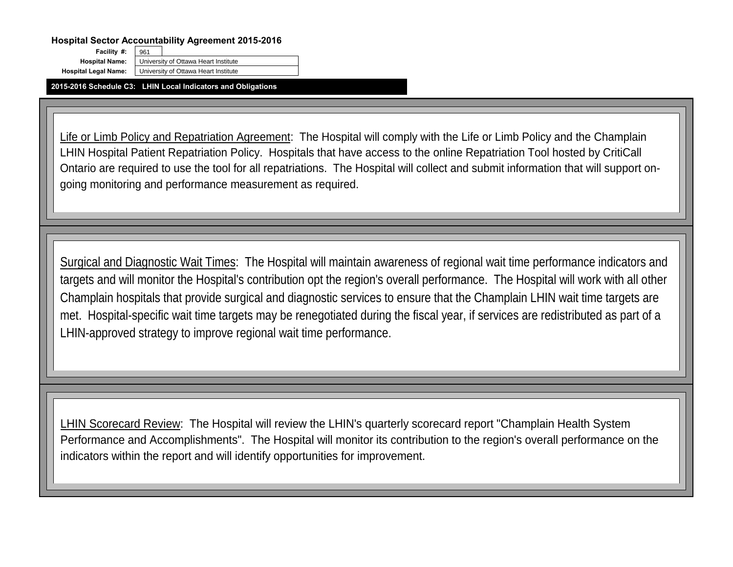**2015-2016 Schedule C3: LHIN Local Indicators and Obligations**

**Facility #:** 

961 **Hospital Name:** University of Ottawa Heart Institute **Hospital Legal Name:** University of Ottawa Heart Institute

Life or Limb Policy and Repatriation Agreement: The Hospital will comply with the Life or Limb Policy and the Champlain LHIN Hospital Patient Repatriation Policy. Hospitals that have access to the online Repatriation Tool hosted by CritiCall Ontario are required to use the tool for all repatriations. The Hospital will collect and submit information that will support ongoing monitoring and performance measurement as required.

Surgical and Diagnostic Wait Times: The Hospital will maintain awareness of regional wait time performance indicators and targets and will monitor the Hospital's contribution opt the region's overall performance. The Hospital will work with all other Champlain hospitals that provide surgical and diagnostic services to ensure that the Champlain LHIN wait time targets are met. Hospital-specific wait time targets may be renegotiated during the fiscal year, if services are redistributed as part of a LHIN-approved strategy to improve regional wait time performance.

LHIN Scorecard Review: The Hospital will review the LHIN's quarterly scorecard report "Champlain Health System Performance and Accomplishments". The Hospital will monitor its contribution to the region's overall performance on the indicators within the report and will identify opportunities for improvement.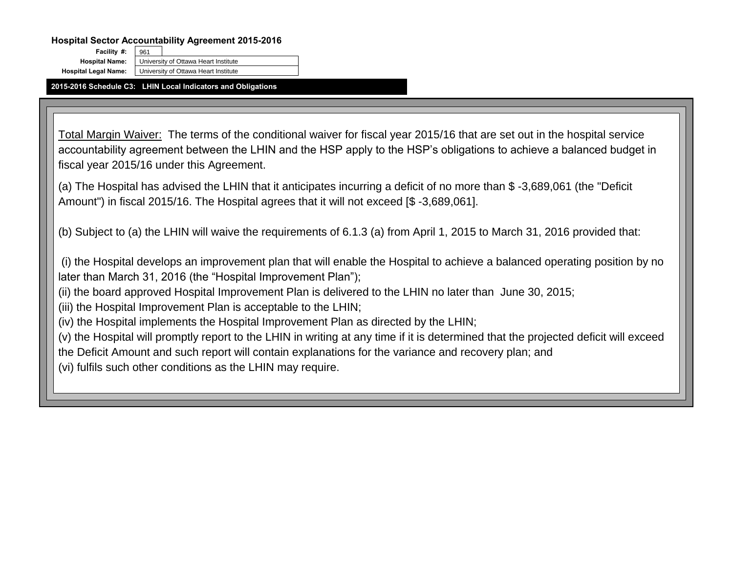**2015-2016 Schedule C3: LHIN Local Indicators and Obligations**

**Facility #:** 

961 **Hospital Name:** University of Ottawa Heart Institute **Hospital Legal Name:** University of Ottawa Heart Institute

Total Margin Waiver: The terms of the conditional waiver for fiscal year 2015/16 that are set out in the hospital service accountability agreement between the LHIN and the HSP apply to the HSP's obligations to achieve a balanced budget in fiscal year 2015/16 under this Agreement.

(a) The Hospital has advised the LHIN that it anticipates incurring a deficit of no more than \$ -3,689,061 (the "Deficit Amount") in fiscal 2015/16. The Hospital agrees that it will not exceed [\$ -3,689,061].

(b) Subject to (a) the LHIN will waive the requirements of 6.1.3 (a) from April 1, 2015 to March 31, 2016 provided that:

(i) the Hospital develops an improvement plan that will enable the Hospital to achieve a balanced operating position by no later than March 31, 2016 (the "Hospital Improvement Plan");

(ii) the board approved Hospital Improvement Plan is delivered to the LHIN no later than June 30, 2015; (iii) the Hospital Improvement Plan is acceptable to the LHIN;

(iv) the Hospital implements the Hospital Improvement Plan as directed by the LHIN; (v) the Hospital will promptly report to the LHIN in writing at any time if it is determined that the projected deficit will exceed the Deficit Amount and such report will contain explanations for the variance and recovery plan; and (vi) fulfils such other conditions as the LHIN may require.